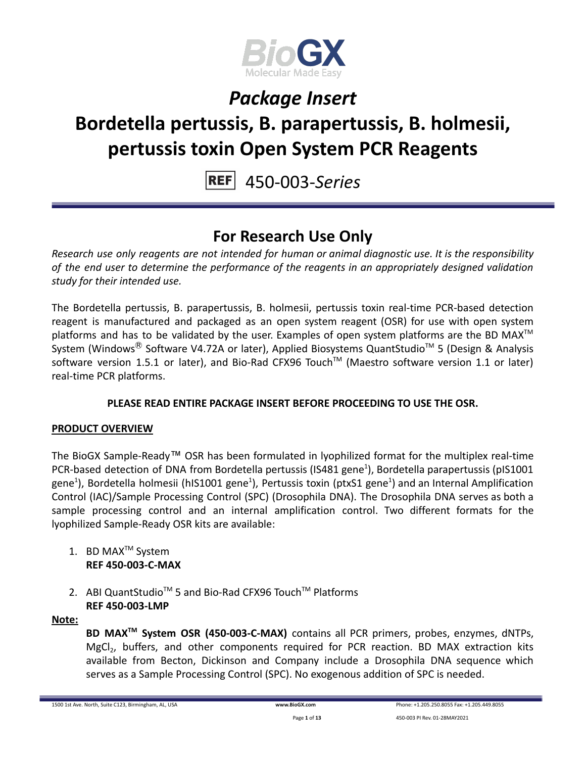

# **Bordetella pertussis, B. parapertussis, B. holmesii, pertussis toxin Open System PCR Reagents**

450-003-*Series*

### **For Research Use Only**

*Research use only reagents are not intended for human or animal diagnostic use. It is the responsibility of the end user to determine the performance of the reagents in an appropriately designed validation study for their intended use.*

The Bordetella pertussis, B. parapertussis, B. holmesii, pertussis toxin real-time PCR-based detection reagent is manufactured and packaged as an open system reagent (OSR) for use with open system platforms and has to be validated by the user. Examples of open system platforms are the BD MAX<sup>™</sup> System (Windows® Software V4.72A or later), Applied Biosystems QuantStudio<sup>™</sup> 5 (Design & Analysis software version 1.5.1 or later), and Bio-Rad CFX96 Touch™ (Maestro software version 1.1 or later) real-time PCR platforms.

### **PLEASE READ ENTIRE PACKAGE INSERT BEFORE PROCEEDING TO USE THE OSR.**

### **PRODUCT OVERVIEW**

The BioGX Sample-Ready™ OSR has been formulated in lyophilized format for the multiplex real-time PCR-based detection of DNA from Bordetella pertussis (IS481 gene<sup>1</sup>), Bordetella parapertussis (pIS1001 gene<sup>1</sup>), Bordetella holmesii (hIS1001 gene<sup>1</sup>), Pertussis toxin (ptxS1 gene<sup>1</sup>) and an Internal Amplification Control (IAC)/Sample Processing Control (SPC) (Drosophila DNA). The Drosophila DNA serves as both a sample processing control and an internal amplification control. Two different formats for the lyophilized Sample-Ready OSR kits are available:

- 1. BD MAX<sup>™</sup> System **REF 450-003-C-MAX**
- 2. ABI QuantStudio<sup>™</sup> 5 and Bio-Rad CFX96 Touch™ Platforms **REF 450-003-LMP**

**Note:**

**BD MAXTM System OSR (450-003-C-MAX)** contains all PCR primers, probes, enzymes, dNTPs, MgCl<sub>2</sub>, buffers, and other components required for PCR reaction. BD MAX extraction kits available from Becton, Dickinson and Company include a Drosophila DNA sequence which serves as a Sample Processing Control (SPC). No exogenous addition of SPC is needed.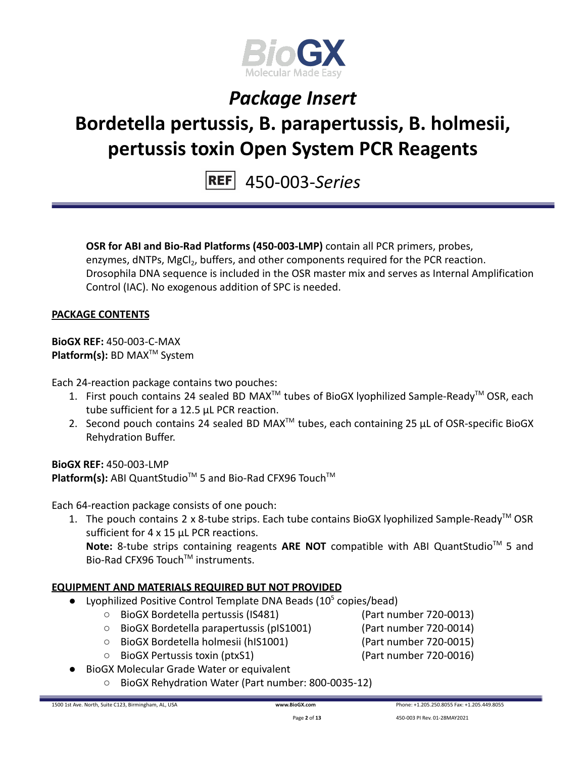

# **Bordetella pertussis, B. parapertussis, B. holmesii, pertussis toxin Open System PCR Reagents**

450-003-*Series*

**OSR for ABI and Bio-Rad Platforms (450-003-LMP)** contain all PCR primers, probes, enzymes, dNTPs, MgCl<sub>2</sub>, buffers, and other components required for the PCR reaction. Drosophila DNA sequence is included in the OSR master mix and serves as Internal Amplification Control (IAC). No exogenous addition of SPC is needed.

#### **PACKAGE CONTENTS**

**BioGX REF:** 450-003-C-MAX **Platform(s):** BD MAX<sup>™</sup> System

Each 24-reaction package contains two pouches:

- 1. First pouch contains 24 sealed BD MAX<sup>™</sup> tubes of BioGX lyophilized Sample-Ready<sup>™</sup> OSR, each tube sufficient for a 12.5 µL PCR reaction.
- 2. Second pouch contains 24 sealed BD MAX<sup>™</sup> tubes, each containing 25  $\mu$ L of OSR-specific BioGX Rehydration Buffer.

**BioGX REF:** 450-003-LMP Platform(s): ABI QuantStudio<sup>™</sup> 5 and Bio-Rad CFX96 Touch<sup>™</sup>

Each 64-reaction package consists of one pouch:

1. The pouch contains 2 x 8-tube strips. Each tube contains BioGX lyophilized Sample-Ready<sup>™</sup> OSR sufficient for 4 x 15 uL PCR reactions.

Note: 8-tube strips containing reagents ARE NOT compatible with ABI QuantStudio<sup>™</sup> 5 and Bio-Rad CFX96 Touch™ instruments.

### **EQUIPMENT AND MATERIALS REQUIRED BUT NOT PROVIDED**

- Lyophilized Positive Control Template DNA Beads  $(10^5 \text{ copies/head})$ 
	- BioGX Bordetella pertussis (IS481) (Part number 720-0013)
		-
	- BioGX Bordetella parapertussis (pIS1001) (Part number 720-0014)
	- BioGX Bordetella holmesii (hIS1001) (Part number 720-0015)
	- BioGX Pertussis toxin (ptxS1) (Part number 720-0016)
- -
- **BioGX Molecular Grade Water or equivalent** 
	- BioGX Rehydration Water (Part number: 800-0035-12)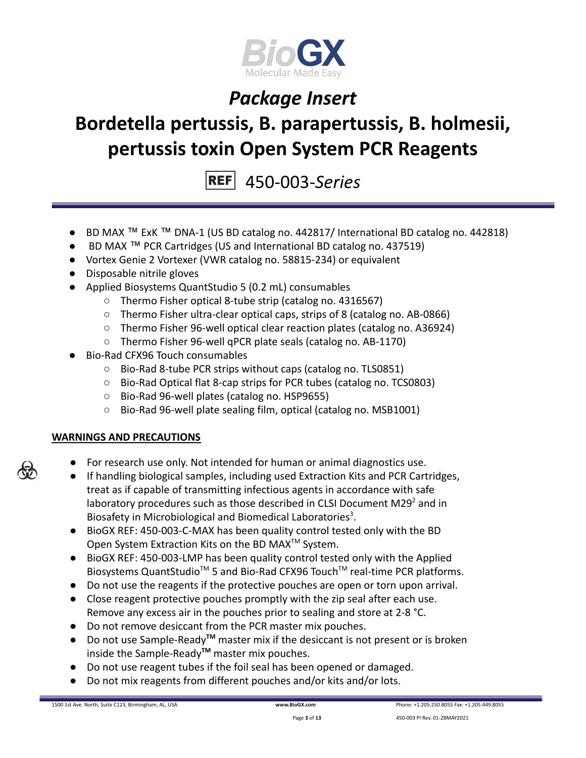

# **Bordetella pertussis, B. parapertussis, B. holmesii, pertussis toxin Open System PCR Reagents**

450-003-*Series*

- BD MAX ™ ExK ™ DNA-1 (US BD catalog no. 442817/ International BD catalog no. 442818)
- BD MAX ™ PCR Cartridges (US and International BD catalog no. 437519)
- Vortex Genie 2 Vortexer (VWR catalog no. 58815-234) or equivalent
- Disposable nitrile gloves
- Applied Biosystems QuantStudio 5 (0.2 mL) consumables
	- Thermo Fisher optical 8-tube strip (catalog no. 4316567)
	- Thermo Fisher ultra-clear optical caps, strips of 8 (catalog no. AB-0866)
	- Thermo Fisher 96-well optical clear reaction plates (catalog no. A36924)
	- Thermo Fisher 96-well qPCR plate seals (catalog no. AB-1170)
- Bio-Rad CFX96 Touch consumables
	- Bio-Rad 8-tube PCR strips without caps (catalog no. TLS0851)
	- Bio-Rad Optical flat 8-cap strips for PCR tubes (catalog no. TCS0803)
	- Bio-Rad 96-well plates (catalog no. HSP9655)
	- Bio-Rad 96-well plate sealing film, optical (catalog no. MSB1001)

### **WARNINGS AND PRECAUTIONS**

- For research use only. Not intended for human or animal diagnostics use.
- If handling biological samples, including used Extraction Kits and PCR Cartridges, treat as if capable of transmitting infectious agents in accordance with safe laboratory procedures such as those described in CLSI Document M29 $2$  and in Biosafety in Microbiological and Biomedical Laboratories<sup>3</sup>.
- BioGX REF: 450-003-C-MAX has been quality control tested only with the BD Open System Extraction Kits on the BD MAX<sup>™</sup> System.
- BioGX REF: 450-003-LMP has been quality control tested only with the Applied Biosystems QuantStudio<sup>™</sup> 5 and Bio-Rad CFX96 Touch<sup>™</sup> real-time PCR platforms.
- Do not use the reagents if the protective pouches are open or torn upon arrival.
- Close reagent protective pouches promptly with the zip seal after each use. Remove any excess air in the pouches prior to sealing and store at 2-8 °C.
- Do not remove desiccant from the PCR master mix pouches.
- Do not use Sample-Ready**TM** master mix if the desiccant is not present or is broken inside the Sample-Ready**TM** master mix pouches.
- Do not use reagent tubes if the foil seal has been opened or damaged.
- Do not mix reagents from different pouches and/or kits and/or lots.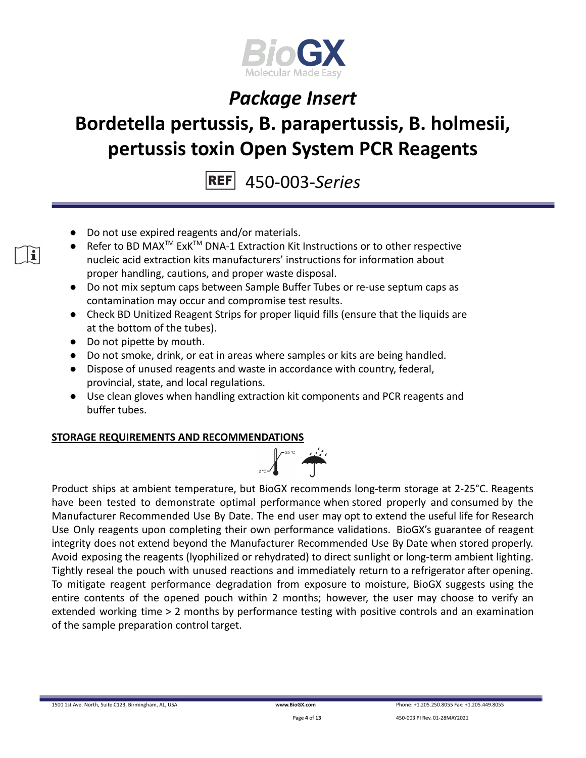

# **Bordetella pertussis, B. parapertussis, B. holmesii, pertussis toxin Open System PCR Reagents**

450-003-*Series*

- Do not use expired reagents and/or materials.
- Refer to BD MAX<sup>™</sup> ExK<sup>™</sup> DNA-1 Extraction Kit Instructions or to other respective nucleic acid extraction kits manufacturers' instructions for information about proper handling, cautions, and proper waste disposal.
- Do not mix septum caps between Sample Buffer Tubes or re-use septum caps as contamination may occur and compromise test results.
- Check BD Unitized Reagent Strips for proper liquid fills (ensure that the liquids are at the bottom of the tubes).
- Do not pipette by mouth.

i.

- Do not smoke, drink, or eat in areas where samples or kits are being handled.
- Dispose of unused reagents and waste in accordance with country, federal, provincial, state, and local regulations.
- Use clean gloves when handling extraction kit components and PCR reagents and buffer tubes.

### **STORAGE REQUIREMENTS AND RECOMMENDATIONS**



Product ships at ambient temperature, but BioGX recommends long-term storage at 2-25°C. Reagents have been tested to demonstrate optimal performance when stored properly and consumed by the Manufacturer Recommended Use By Date. The end user may opt to extend the useful life for Research Use Only reagents upon completing their own performance validations. BioGX's guarantee of reagent integrity does not extend beyond the Manufacturer Recommended Use By Date when stored properly. Avoid exposing the reagents (lyophilized or rehydrated) to direct sunlight or long-term ambient lighting. Tightly reseal the pouch with unused reactions and immediately return to a refrigerator after opening. To mitigate reagent performance degradation from exposure to moisture, BioGX suggests using the entire contents of the opened pouch within 2 months; however, the user may choose to verify an extended working time > 2 months by performance testing with positive controls and an examination of the sample preparation control target.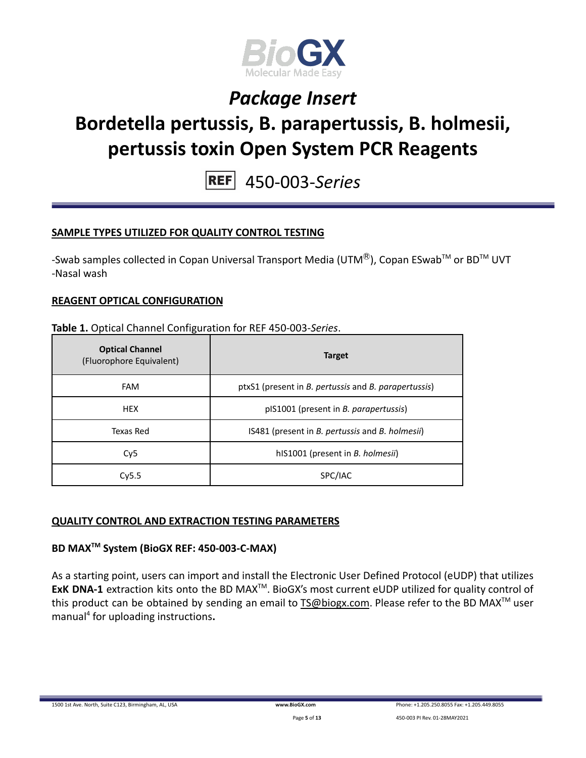

# **Bordetella pertussis, B. parapertussis, B. holmesii, pertussis toxin Open System PCR Reagents**

450-003-*Series*

### **SAMPLE TYPES UTILIZED FOR QUALITY CONTROL TESTING**

-Swab samples collected in Copan Universal Transport Media (UTM<sup>®</sup>), Copan ESwab<sup>TM</sup> or BD<sup>TM</sup> UVT -Nasal wash

#### **REAGENT OPTICAL CONFIGURATION**

#### **Table 1.** Optical Channel Configuration for REF 450-003-*Series*.

| <b>Optical Channel</b><br>(Fluorophore Equivalent) | <b>Target</b>                                        |  |
|----------------------------------------------------|------------------------------------------------------|--|
| <b>FAM</b>                                         | ptxS1 (present in B. pertussis and B. parapertussis) |  |
| <b>HEX</b>                                         | pIS1001 (present in <i>B. parapertussis</i> )        |  |
| Texas Red                                          | IS481 (present in B. pertussis and B. holmesii)      |  |
| Cy <sub>5</sub>                                    | hIS1001 (present in <i>B. holmesii</i> )             |  |
| Cv5.5                                              | SPC/IAC                                              |  |

#### **QUALITY CONTROL AND EXTRACTION TESTING PARAMETERS**

### **BD MAXTM System (BioGX REF: 450-003-C-MAX)**

As a starting point, users can import and install the Electronic User Defined Protocol (eUDP) that utilizes ExK DNA-1 extraction kits onto the BD MAX<sup>™</sup>. BioGX's most current eUDP utilized for quality control of this product can be obtained by sending an email to [TS@biogx.com](mailto:TS@biogx.com). Please refer to the BD MAX<sup>TM</sup> user manual<sup>4</sup> for uploading instructions**.**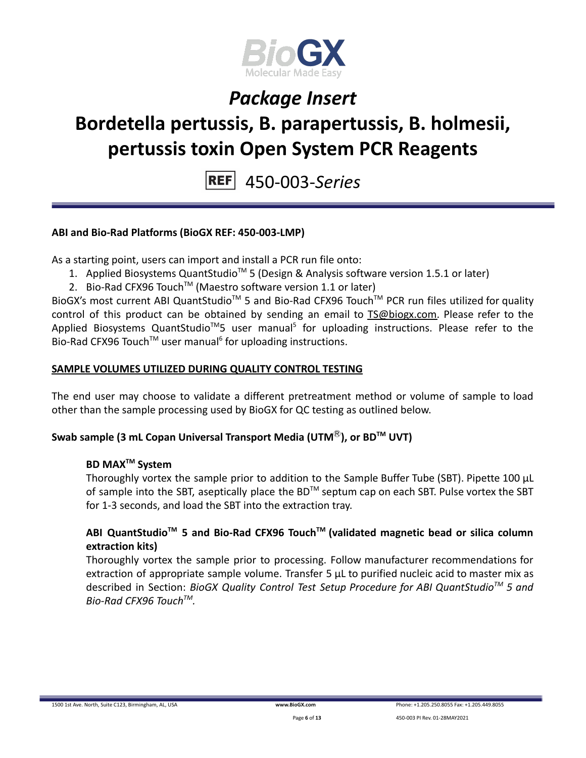

# **Bordetella pertussis, B. parapertussis, B. holmesii, pertussis toxin Open System PCR Reagents**

450-003-*Series*

### **ABI and Bio-Rad Platforms (BioGX REF: 450-003-LMP)**

As a starting point, users can import and install a PCR run file onto:

- 1. Applied Biosystems QuantStudio<sup>™</sup> 5 (Design & Analysis software version 1.5.1 or later)
- 2. Bio-Rad CFX96 Touch<sup>™</sup> (Maestro software version 1.1 or later)

BioGX's most current ABI QuantStudio<sup>™</sup> 5 and Bio-Rad CFX96 Touch<sup>™</sup> PCR run files utilized for quality control of this product can be obtained by sending an email to [TS@biogx.com.](mailto:TS@biogx.com) Please refer to the Applied Biosystems QuantStudio<sup>™</sup>5 user manual<sup>5</sup> for uploading instructions. Please refer to the Bio-Rad CFX96 Touch<sup>™</sup> user manual<sup>6</sup> for uploading instructions.

#### **SAMPLE VOLUMES UTILIZED DURING QUALITY CONTROL TESTING**

The end user may choose to validate a different pretreatment method or volume of sample to load other than the sample processing used by BioGX for QC testing as outlined below.

#### **Swab sample (3 mL Copan Universal Transport Media (UTM**Ⓡ**), or BDTM UVT)**

### **BD MAXTM System**

Thoroughly vortex the sample prior to addition to the Sample Buffer Tube (SBT). Pipette 100 μL of sample into the SBT, aseptically place the BD<sup>TM</sup> septum cap on each SBT. Pulse vortex the SBT for 1-3 seconds, and load the SBT into the extraction tray.

### **ABI QuantStudioTM 5 and Bio-Rad CFX96 TouchTM (validated magnetic bead or silica column extraction kits)**

Thoroughly vortex the sample prior to processing. Follow manufacturer recommendations for extraction of appropriate sample volume. Transfer 5 μL to purified nucleic acid to master mix as described in Section: *BioGX Quality Control Test Setup Procedure for ABI QuantStudioTM 5 and Bio-Rad CFX96 TouchTM .*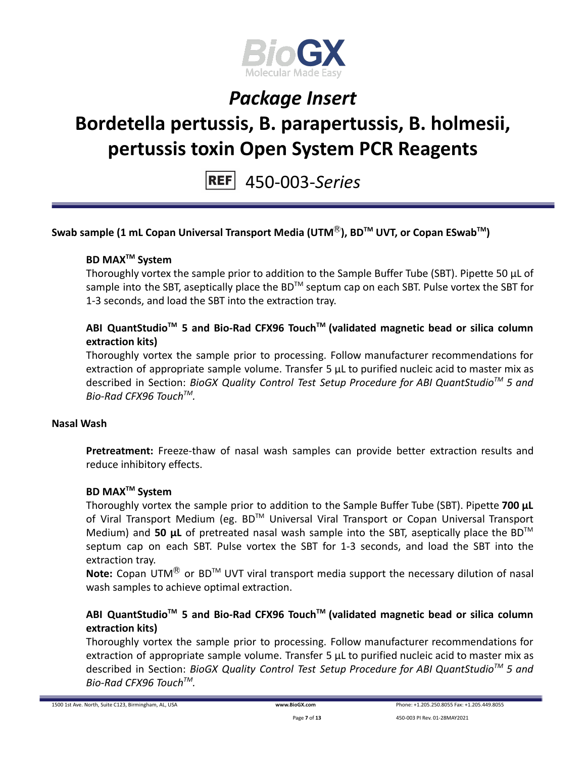

# **Bordetella pertussis, B. parapertussis, B. holmesii, pertussis toxin Open System PCR Reagents**

450-003-*Series*

```
Swab sample (1 mL Copan Universal Transport Media (UTMⓇ), BDTM UVT, or Copan ESwabTM
)
```
### **BD MAXTM System**

Thoroughly vortex the sample prior to addition to the Sample Buffer Tube (SBT). Pipette 50 μL of sample into the SBT, aseptically place the BD<sup>™</sup> septum cap on each SBT. Pulse vortex the SBT for 1-3 seconds, and load the SBT into the extraction tray.

### **ABI QuantStudioTM 5 and Bio-Rad CFX96 TouchTM (validated magnetic bead or silica column extraction kits)**

Thoroughly vortex the sample prior to processing. Follow manufacturer recommendations for extraction of appropriate sample volume. Transfer 5 μL to purified nucleic acid to master mix as described in Section: *BioGX Quality Control Test Setup Procedure for ABI QuantStudioTM 5 and Bio-Rad CFX96 TouchTM .*

#### **Nasal Wash**

**Pretreatment:** Freeze-thaw of nasal wash samples can provide better extraction results and reduce inhibitory effects.

#### **BD MAXTM System**

Thoroughly vortex the sample prior to addition to the Sample Buffer Tube (SBT). Pipette **700 μL** of Viral Transport Medium (eg. BD™ Universal Viral Transport or Copan Universal Transport Medium) and 50 µL of pretreated nasal wash sample into the SBT, aseptically place the BD<sup>™</sup> septum cap on each SBT. Pulse vortex the SBT for 1-3 seconds, and load the SBT into the extraction tray.

Note: Copan UTM<sup>®</sup> or BD<sup>™</sup> UVT viral transport media support the necessary dilution of nasal wash samples to achieve optimal extraction.

### **ABI QuantStudioTM 5 and Bio-Rad CFX96 TouchTM (validated magnetic bead or silica column extraction kits)**

Thoroughly vortex the sample prior to processing. Follow manufacturer recommendations for extraction of appropriate sample volume. Transfer 5 μL to purified nucleic acid to master mix as described in Section: *BioGX Quality Control Test Setup Procedure for ABI QuantStudioTM 5 and Bio-Rad CFX96 TouchTM .*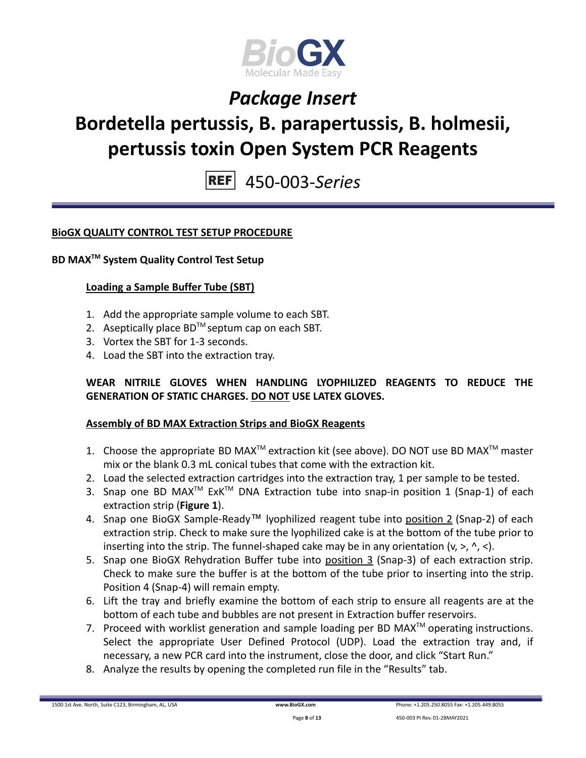

# **Bordetella pertussis, B. parapertussis, B. holmesii, pertussis toxin Open System PCR Reagents**

450-003-*Series*

### **BioGX QUALITY CONTROL TEST SETUP PROCEDURE**

### **BD MAXTM System Quality Control Test Setup**

#### **Loading a Sample Buffer Tube (SBT)**

- 1. Add the appropriate sample volume to each SBT.
- 2. Aseptically place  $BD^{TM}$  septum cap on each SBT.
- 3. Vortex the SBT for 1-3 seconds.
- 4. Load the SBT into the extraction tray.

### **WEAR NITRILE GLOVES WHEN HANDLING LYOPHILIZED REAGENTS TO REDUCE THE GENERATION OF STATIC CHARGES. DO NOT USE LATEX GLOVES.**

#### **Assembly of BD MAX Extraction Strips and BioGX Reagents**

- 1. Choose the appropriate BD MAX<sup>TM</sup> extraction kit (see above). DO NOT use BD MAX<sup>TM</sup> master mix or the blank 0.3 mL conical tubes that come with the extraction kit.
- 2. Load the selected extraction cartridges into the extraction tray, 1 per sample to be tested.
- 3. Snap one BD MAX<sup>™</sup> ExK<sup>™</sup> DNA Extraction tube into snap-in position 1 (Snap-1) of each extraction strip (**Figure 1**).
- 4. Snap one BioGX Sample-Ready™ lyophilized reagent tube into position 2 (Snap-2) of each extraction strip. Check to make sure the lyophilized cake is at the bottom of the tube prior to inserting into the strip. The funnel-shaped cake may be in any orientation  $(v, >, ' , <)$ .
- 5. Snap one BioGX Rehydration Buffer tube into position 3 (Snap-3) of each extraction strip. Check to make sure the buffer is at the bottom of the tube prior to inserting into the strip. Position 4 (Snap-4) will remain empty.
- 6. Lift the tray and briefly examine the bottom of each strip to ensure all reagents are at the bottom of each tube and bubbles are not present in Extraction buffer reservoirs.
- 7. Proceed with worklist generation and sample loading per BD MAX $^{TM}$  operating instructions. Select the appropriate User Defined Protocol (UDP). Load the extraction tray and, if necessary, a new PCR card into the instrument, close the door, and click "Start Run."
- 8. Analyze the results by opening the completed run file in the "Results" tab.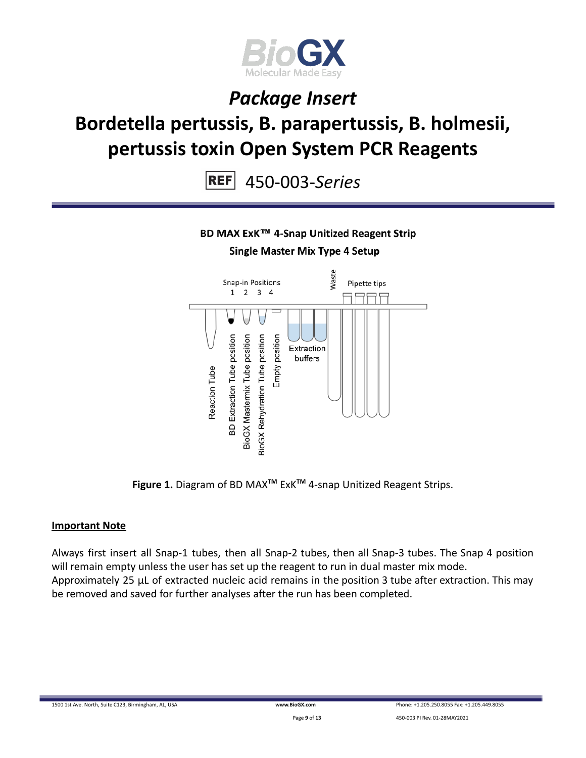

# **Bordetella pertussis, B. parapertussis, B. holmesii, pertussis toxin Open System PCR Reagents**

450-003-*Series*

### BD MAX ExK™ 4-Snap Unitized Reagent Strip

### **Single Master Mix Type 4 Setup**



**Figure 1.** Diagram of BD MAX**TM** ExK**TM** 4-snap Unitized Reagent Strips.

#### **Important Note**

Always first insert all Snap-1 tubes, then all Snap-2 tubes, then all Snap-3 tubes. The Snap 4 position will remain empty unless the user has set up the reagent to run in dual master mix mode. Approximately 25 µL of extracted nucleic acid remains in the position 3 tube after extraction. This may be removed and saved for further analyses after the run has been completed.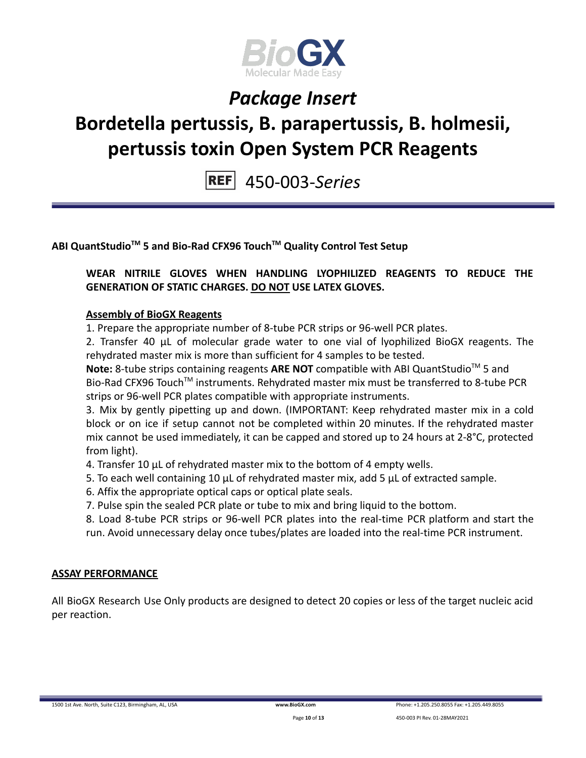

# **Bordetella pertussis, B. parapertussis, B. holmesii, pertussis toxin Open System PCR Reagents**

450-003-*Series*

**ABI QuantStudioTM 5 and Bio-Rad CFX96 TouchTM Quality Control Test Setup**

### **WEAR NITRILE GLOVES WHEN HANDLING LYOPHILIZED REAGENTS TO REDUCE THE GENERATION OF STATIC CHARGES. DO NOT USE LATEX GLOVES.**

### **Assembly of BioGX Reagents**

1. Prepare the appropriate number of 8-tube PCR strips or 96-well PCR plates.

2. Transfer 40 μL of molecular grade water to one vial of lyophilized BioGX reagents. The rehydrated master mix is more than sufficient for 4 samples to be tested.

Note: 8-tube strips containing reagents ARE NOT compatible with ABI QuantStudio<sup>™</sup> 5 and Bio-Rad CFX96 Touch<sup>™</sup> instruments. Rehydrated master mix must be transferred to 8-tube PCR strips or 96-well PCR plates compatible with appropriate instruments.

3. Mix by gently pipetting up and down. (IMPORTANT: Keep rehydrated master mix in a cold block or on ice if setup cannot not be completed within 20 minutes. If the rehydrated master mix cannot be used immediately, it can be capped and stored up to 24 hours at 2-8°C, protected from light).

4. Transfer 10 μL of rehydrated master mix to the bottom of 4 empty wells.

- 5. To each well containing 10 μL of rehydrated master mix, add 5 μL of extracted sample.
- 6. Affix the appropriate optical caps or optical plate seals.
- 7. Pulse spin the sealed PCR plate or tube to mix and bring liquid to the bottom.

8. Load 8-tube PCR strips or 96-well PCR plates into the real-time PCR platform and start the run. Avoid unnecessary delay once tubes/plates are loaded into the real-time PCR instrument.

#### **ASSAY PERFORMANCE**

All BioGX Research Use Only products are designed to detect 20 copies or less of the target nucleic acid per reaction.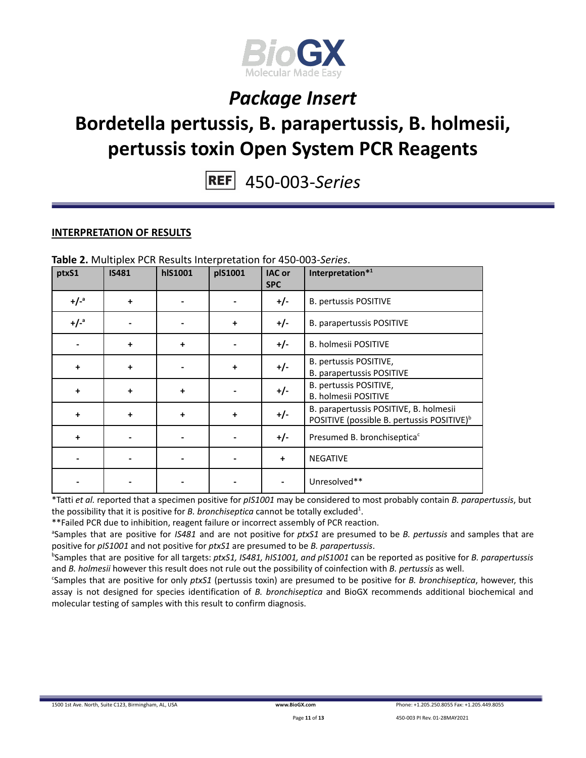

# **Bordetella pertussis, B. parapertussis, B. holmesii, pertussis toxin Open System PCR Reagents**

450-003-*Series*

#### **INTERPRETATION OF RESULTS**

| ptxS1     | <b>IS481</b> | <b>hlS1001</b> | plS1001   | <b>IAC or</b><br><b>SPC</b> | Interpretation*1                                                                                 |
|-----------|--------------|----------------|-----------|-----------------------------|--------------------------------------------------------------------------------------------------|
| $+/-a$    | $\ddotmark$  |                |           | +/-                         | <b>B. pertussis POSITIVE</b>                                                                     |
| $+/-^a$   |              |                | $\ddot{}$ | $+/-$                       | B. parapertussis POSITIVE                                                                        |
|           | $\ddotmark$  | $\ddot{}$      |           | +/-                         | B. holmesii POSITIVE                                                                             |
| $\ddot{}$ | $\ddot{}$    |                | $\ddot{}$ | $+/-$                       | B. pertussis POSITIVE,<br><b>B. parapertussis POSITIVE</b>                                       |
| $\ddot{}$ | $\ddot{}$    | $\ddot{}$      |           | +/-                         | B. pertussis POSITIVE,<br><b>B. holmesii POSITIVE</b>                                            |
| $\ddot{}$ | $\ddot{}$    | $\ddot{}$      | $\ddot{}$ | $+/-$                       | B. parapertussis POSITIVE, B. holmesii<br>POSITIVE (possible B. pertussis POSITIVE) <sup>b</sup> |
| $\ddot{}$ |              |                |           | $+/-$                       | Presumed B. bronchiseptica <sup>c</sup>                                                          |
|           |              |                |           | $\ddot{}$                   | <b>NEGATIVE</b>                                                                                  |
|           |              |                |           |                             | Unresolved**                                                                                     |

**Table 2.** Multiplex PCR Results Interpretation for 450-003-*Series*.

\*Tatti *et al.* reported that a specimen positive for *pIS1001* may be considered to most probably contain *B. parapertussis*, but the possibility that it is positive for *B. bronchiseptica* cannot be totally excluded 1 .

\*\*Failed PCR due to inhibition, reagent failure or incorrect assembly of PCR reaction.

<sup>a</sup>Samples that are positive for *IS481* and are not positive for *ptxS1* are presumed to be *B. pertussis* and samples that are positive for *pIS1001* and not positive for *ptxS1* are presumed to be *B. parapertussis*.

<sup>b</sup>Samples that are positive for all targets: *ptxS1, IS481, hIS1001, and pIS1001* can be reported as positive for *B. parapertussis* and *B. holmesii* however this result does not rule out the possibility of coinfection with *B. pertussis* as well.

<sup>c</sup>Samples that are positive for only *ptxS1* (pertussis toxin) are presumed to be positive for *B. bronchiseptica*, however, this assay is not designed for species identification of *B. bronchiseptica* and BioGX recommends additional biochemical and molecular testing of samples with this result to confirm diagnosis.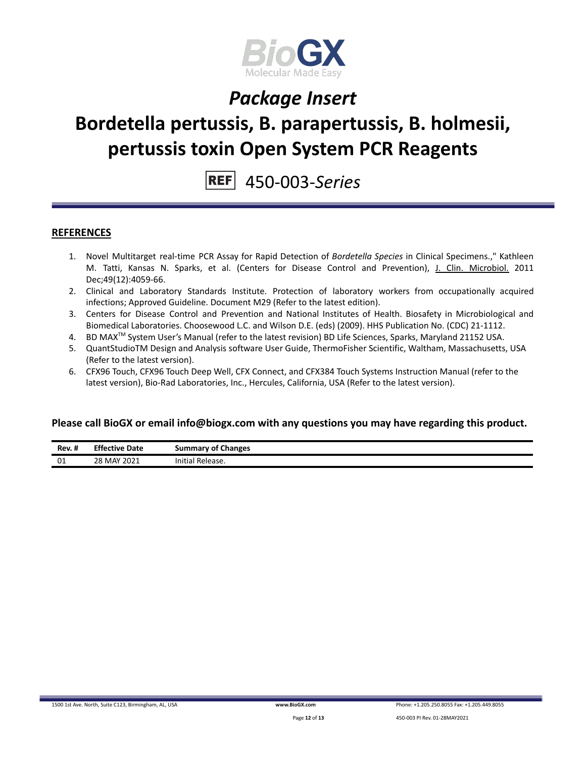

# **Bordetella pertussis, B. parapertussis, B. holmesii, pertussis toxin Open System PCR Reagents**

450-003-*Series*

#### **REFERENCES**

- 1. Novel Multitarget real-time PCR Assay for Rapid Detection of *Bordetella Species* in Clinical Specimens.," Kathleen M. Tatti, Kansas N. Sparks, et al. (Centers for Disease Control and Prevention), J. Clin. [Microbiol.](http://www.ncbi.nlm.nih.gov/pubmed/21940464) 2011 Dec;49(12):4059-66.
- 2. Clinical and Laboratory Standards Institute. Protection of laboratory workers from occupationally acquired infections; Approved Guideline. Document M29 (Refer to the latest edition).
- 3. Centers for Disease Control and Prevention and National Institutes of Health. Biosafety in Microbiological and Biomedical Laboratories. Choosewood L.C. and Wilson D.E. (eds) (2009). HHS Publication No. (CDC) 21-1112.
- 4. BD MAX<sup>™</sup> System User's Manual (refer to the latest revision) BD Life Sciences, Sparks, Maryland 21152 USA.
- 5. QuantStudioTM Design and Analysis software User Guide, ThermoFisher Scientific, Waltham, Massachusetts, USA (Refer to the latest version).
- 6. CFX96 Touch, CFX96 Touch Deep Well, CFX Connect, and CFX384 Touch Systems Instruction Manual (refer to the latest version), Bio-Rad Laboratories, Inc., Hercules, California, USA (Refer to the latest version).

#### **Please call BioGX or email info@biogx.com with any questions you may have regarding this product.**

| Rev. # | Effective.<br>Date | <b>Summary of Changes</b>         |
|--------|--------------------|-----------------------------------|
| 01     | 28 MAY 2021        | $\cdots$<br>' Release.<br>Initial |